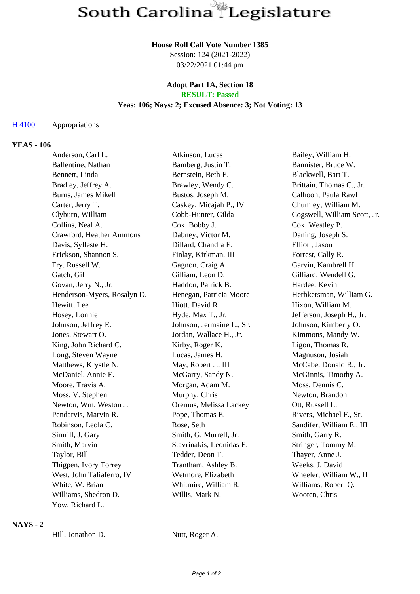#### **House Roll Call Vote Number 1385**

Session: 124 (2021-2022) 03/22/2021 01:44 pm

#### **Adopt Part 1A, Section 18 RESULT: Passed**

## **Yeas: 106; Nays: 2; Excused Absence: 3; Not Voting: 13**

#### H 4100 Appropriations

#### **YEAS - 106**

| Anderson, Carl L.           | Atkinson, Lucas           | Bailey, William H.           |
|-----------------------------|---------------------------|------------------------------|
| Ballentine, Nathan          | Bamberg, Justin T.        | Bannister, Bruce W.          |
| Bennett, Linda              | Bernstein, Beth E.        | Blackwell, Bart T.           |
| Bradley, Jeffrey A.         | Brawley, Wendy C.         | Brittain, Thomas C., Jr.     |
| Burns, James Mikell         | Bustos, Joseph M.         | Calhoon, Paula Rawl          |
| Carter, Jerry T.            | Caskey, Micajah P., IV    | Chumley, William M.          |
| Clyburn, William            | Cobb-Hunter, Gilda        | Cogswell, William Scott, Jr. |
| Collins, Neal A.            | Cox, Bobby J.             | Cox, Westley P.              |
| Crawford, Heather Ammons    | Dabney, Victor M.         | Daning, Joseph S.            |
| Davis, Sylleste H.          | Dillard, Chandra E.       | Elliott, Jason               |
| Erickson, Shannon S.        | Finlay, Kirkman, III      | Forrest, Cally R.            |
| Fry, Russell W.             | Gagnon, Craig A.          | Garvin, Kambrell H.          |
| Gatch, Gil                  | Gilliam, Leon D.          | Gilliard, Wendell G.         |
| Govan, Jerry N., Jr.        | Haddon, Patrick B.        | Hardee, Kevin                |
| Henderson-Myers, Rosalyn D. | Henegan, Patricia Moore   | Herbkersman, William G.      |
| Hewitt, Lee                 | Hiott, David R.           | Hixon, William M.            |
| Hosey, Lonnie               | Hyde, Max T., Jr.         | Jefferson, Joseph H., Jr.    |
| Johnson, Jeffrey E.         | Johnson, Jermaine L., Sr. | Johnson, Kimberly O.         |
| Jones, Stewart O.           | Jordan, Wallace H., Jr.   | Kimmons, Mandy W.            |
| King, John Richard C.       | Kirby, Roger K.           | Ligon, Thomas R.             |
| Long, Steven Wayne          | Lucas, James H.           | Magnuson, Josiah             |
| Matthews, Krystle N.        | May, Robert J., III       | McCabe, Donald R., Jr.       |
| McDaniel, Annie E.          | McGarry, Sandy N.         | McGinnis, Timothy A.         |
| Moore, Travis A.            | Morgan, Adam M.           | Moss, Dennis C.              |
| Moss, V. Stephen            | Murphy, Chris             | Newton, Brandon              |
| Newton, Wm. Weston J.       | Oremus, Melissa Lackey    | Ott, Russell L.              |
| Pendarvis, Marvin R.        | Pope, Thomas E.           | Rivers, Michael F., Sr.      |
| Robinson, Leola C.          | Rose, Seth                | Sandifer, William E., III    |
| Simrill, J. Gary            | Smith, G. Murrell, Jr.    | Smith, Garry R.              |
| Smith, Marvin               | Stavrinakis, Leonidas E.  | Stringer, Tommy M.           |
| Taylor, Bill                | Tedder, Deon T.           | Thayer, Anne J.              |
| Thigpen, Ivory Torrey       | Trantham, Ashley B.       | Weeks, J. David              |
| West, John Taliaferro, IV   | Wetmore, Elizabeth        | Wheeler, William W., III     |
| White, W. Brian             | Whitmire, William R.      | Williams, Robert Q.          |
| Williams, Shedron D.        | Willis, Mark N.           | Wooten, Chris                |
| Yow, Richard L.             |                           |                              |

# **NAYS - 2**

Hill, Jonathon D. Nutt, Roger A.